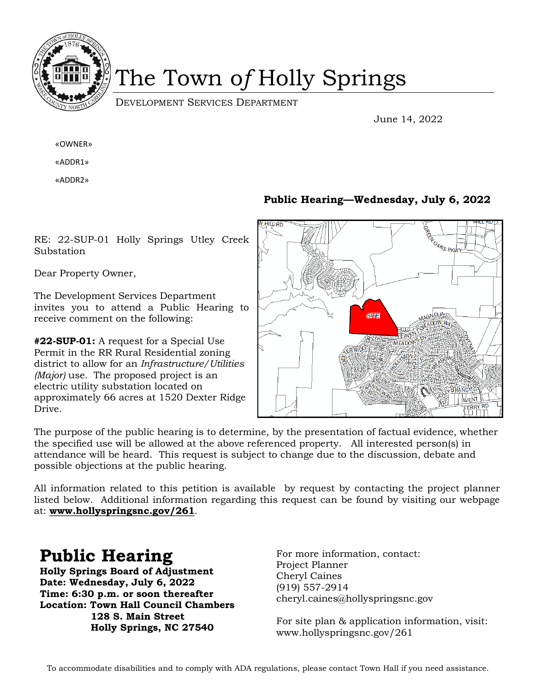

# The Town o*f* Holly Springs

DEVELOPMENT SERVICES DEPARTMENT

June 14, 2022

«OWNER»

«ADDR1»

«ADDR2»

RE: 22-SUP-01 Holly Springs Utley Creek Substation

Dear Property Owner,

The Development Services Department invites you to attend a Public Hearing to receive comment on the following:

**#22-SUP-01:** A request for a Special Use Permit in the RR Rural Residential zoning district to allow for an *Infrastructure/Utilities (Major)* use*.* The proposed project is an electric utility substation located on approximately 66 acres at 1520 Dexter Ridge Drive.

### **Public Hearing—Wednesday, July 6, 2022**



The purpose of the public hearing is to determine, by the presentation of factual evidence, whether the specified use will be allowed at the above referenced property. All interested person(s) in attendance will be heard. This request is subject to change due to the discussion, debate and possible objections at the public hearing.

All information related to this petition is available by request by contacting the project planner listed below. Additional information regarding this request can be found by visiting our webpage at: **www.hollyspringsnc.gov/261**.

### **Public Hearing**

**Holly Springs Board of Adjustment Date: Wednesday, July 6, 2022 Time: 6:30 p.m. or soon thereafter Location: Town Hall Council Chambers 128 S. Main Street Holly Springs, NC 27540**

For more information, contact: Project Planner Cheryl Caines (919) 557-2914 cheryl.caines@hollyspringsnc.gov

For site plan & application information, visit: www.hollyspringsnc.gov/261